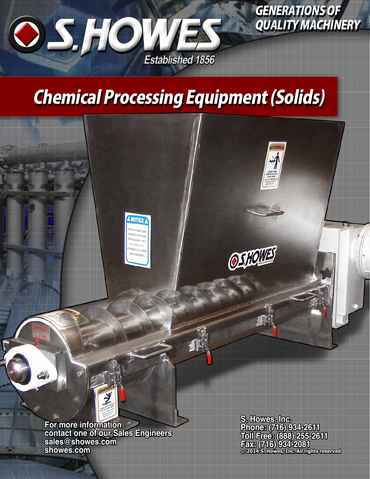

GENERATIONS OF QUALITY MACHINERY

# Chemical Processing Equipment (Solids)

小

**A NOTICE** 



**For more information contact one of our Sales Engineers sales@showes.com showes.com**

**S. Howes. Inc. Phone: (716) 934-2611 Toll Free: (888) 255-2611 Fax: (716) 934-2081 © 2014 S. Howes, Inc. All rights reserved**

OSTOW